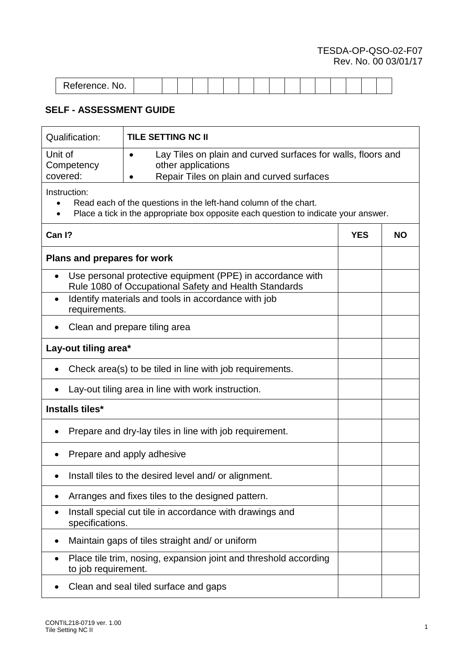## TESDA-OP-QSO-02-F07 Rev. No. 00 03/01/17

| 'oforonco<br>NO.<br>selefence. |  |  |  |  |  |  |  |  |
|--------------------------------|--|--|--|--|--|--|--|--|
|                                |  |  |  |  |  |  |  |  |

## **SELF - ASSESSMENT GUIDE**

 $\mathbf{r}$ 

| <b>Qualification:</b>                                                                                                                                                                | <b>TILE SETTING NC II</b>                                        |            |           |  |  |  |
|--------------------------------------------------------------------------------------------------------------------------------------------------------------------------------------|------------------------------------------------------------------|------------|-----------|--|--|--|
| Unit of<br>Lay Tiles on plain and curved surfaces for walls, floors and<br>Competency<br>other applications<br>covered:<br>Repair Tiles on plain and curved surfaces                 |                                                                  |            |           |  |  |  |
| Instruction:<br>Read each of the questions in the left-hand column of the chart.<br>$\bullet$<br>Place a tick in the appropriate box opposite each question to indicate your answer. |                                                                  |            |           |  |  |  |
| Can I?                                                                                                                                                                               |                                                                  | <b>YES</b> | <b>NO</b> |  |  |  |
| Plans and prepares for work                                                                                                                                                          |                                                                  |            |           |  |  |  |
| Use personal protective equipment (PPE) in accordance with<br>Rule 1080 of Occupational Safety and Health Standards                                                                  |                                                                  |            |           |  |  |  |
| Identify materials and tools in accordance with job<br>$\bullet$<br>requirements.                                                                                                    |                                                                  |            |           |  |  |  |
| Clean and prepare tiling area                                                                                                                                                        |                                                                  |            |           |  |  |  |
| Lay-out tiling area*                                                                                                                                                                 |                                                                  |            |           |  |  |  |
| Check area(s) to be tiled in line with job requirements.                                                                                                                             |                                                                  |            |           |  |  |  |
| Lay-out tiling area in line with work instruction.                                                                                                                                   |                                                                  |            |           |  |  |  |
| Installs tiles*                                                                                                                                                                      |                                                                  |            |           |  |  |  |
| Prepare and dry-lay tiles in line with job requirement.                                                                                                                              |                                                                  |            |           |  |  |  |
|                                                                                                                                                                                      | Prepare and apply adhesive                                       |            |           |  |  |  |
| Install tiles to the desired level and/ or alignment.<br>$\bullet$                                                                                                                   |                                                                  |            |           |  |  |  |
| Arranges and fixes tiles to the designed pattern.                                                                                                                                    |                                                                  |            |           |  |  |  |
| Install special cut tile in accordance with drawings and<br>specifications.                                                                                                          |                                                                  |            |           |  |  |  |
|                                                                                                                                                                                      | Maintain gaps of tiles straight and/ or uniform                  |            |           |  |  |  |
| to job requirement.                                                                                                                                                                  | Place tile trim, nosing, expansion joint and threshold according |            |           |  |  |  |
| Clean and seal tiled surface and gaps                                                                                                                                                |                                                                  |            |           |  |  |  |